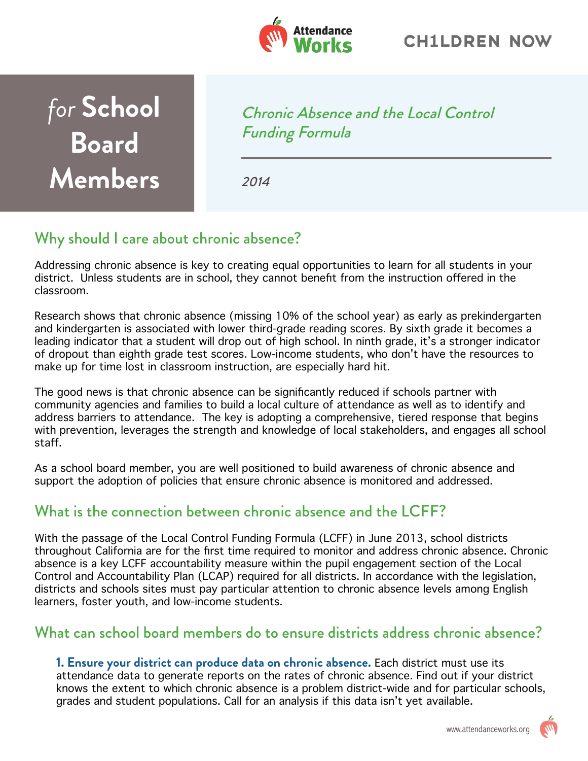

*for* **School Board Members**

Chronic Absence and the Local Control Funding Formula

2014

## Why should I care about chronic absence?

Addressing chronic absence is key to creating equal opportunities to learn for all students in your district. Unless students are in school, they cannot benefit from the instruction offered in the classroom.

Research shows that chronic absence (missing 10% of the school year) as early as prekindergarten and kindergarten is associated with lower third-grade reading scores. By sixth grade it becomes a leading indicator that a student will drop out of high school. In ninth grade, it's a stronger indicator of dropout than eighth grade test scores. Low-income students, who don't have the resources to make up for time lost in classroom instruction, are especially hard hit.

The good news is that chronic absence can be significantly reduced if schools partner with community agencies and families to build a local culture of attendance as well as to identify and address barriers to attendance. The key is adopting a comprehensive, tiered response that begins with prevention, leverages the strength and knowledge of local stakeholders, and engages all school staff.

As a school board member, you are well positioned to build awareness of chronic absence and support the adoption of policies that ensure chronic absence is monitored and addressed.

## What is the connection between chronic absence and the LCFF?

With the passage of the Local Control Funding Formula (LCFF) in June 2013, school districts throughout California are for the first time required to monitor and address chronic absence. Chronic absence is a key LCFF accountability measure within the pupil engagement section of the Local Control and Accountability Plan (LCAP) required for all districts. In accordance with the legislation, districts and schools sites must pay particular attention to chronic absence levels among English learners, foster youth, and low-income students.

## What can school board members do to ensure districts address chronic absence?

**1. Ensure your district can produce data on chronic absence.** Each district must use its attendance data to generate reports on the rates of chronic absence. Find out if your district knows the extent to which chronic absence is a problem district-wide and for particular schools, grades and student populations. Call for an analysis if this data isn't yet available.